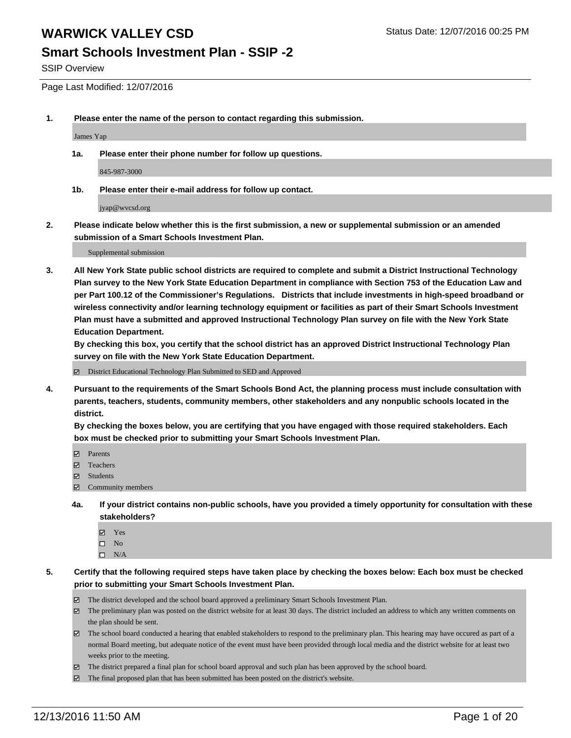#### **Smart Schools Investment Plan - SSIP -2**

SSIP Overview

Page Last Modified: 12/07/2016

**1. Please enter the name of the person to contact regarding this submission.**

James Yap

**1a. Please enter their phone number for follow up questions.**

845-987-3000

**1b. Please enter their e-mail address for follow up contact.**

jyap@wvcsd.org

**2. Please indicate below whether this is the first submission, a new or supplemental submission or an amended submission of a Smart Schools Investment Plan.**

Supplemental submission

**3. All New York State public school districts are required to complete and submit a District Instructional Technology Plan survey to the New York State Education Department in compliance with Section 753 of the Education Law and per Part 100.12 of the Commissioner's Regulations. Districts that include investments in high-speed broadband or wireless connectivity and/or learning technology equipment or facilities as part of their Smart Schools Investment Plan must have a submitted and approved Instructional Technology Plan survey on file with the New York State Education Department.** 

**By checking this box, you certify that the school district has an approved District Instructional Technology Plan survey on file with the New York State Education Department.**

District Educational Technology Plan Submitted to SED and Approved

**4. Pursuant to the requirements of the Smart Schools Bond Act, the planning process must include consultation with parents, teachers, students, community members, other stakeholders and any nonpublic schools located in the district.** 

**By checking the boxes below, you are certifying that you have engaged with those required stakeholders. Each box must be checked prior to submitting your Smart Schools Investment Plan.**

- **Parents**
- Teachers
- **冈** Students
- Community members
- **4a. If your district contains non-public schools, have you provided a timely opportunity for consultation with these stakeholders?**
	- Yes
	- $\square$  No
	- $\square$  N/A
- **5. Certify that the following required steps have taken place by checking the boxes below: Each box must be checked prior to submitting your Smart Schools Investment Plan.**
	- The district developed and the school board approved a preliminary Smart Schools Investment Plan.
	- The preliminary plan was posted on the district website for at least 30 days. The district included an address to which any written comments on the plan should be sent.
	- The school board conducted a hearing that enabled stakeholders to respond to the preliminary plan. This hearing may have occured as part of a normal Board meeting, but adequate notice of the event must have been provided through local media and the district website for at least two weeks prior to the meeting.
	- The district prepared a final plan for school board approval and such plan has been approved by the school board.
	- $\boxtimes$  The final proposed plan that has been submitted has been posted on the district's website.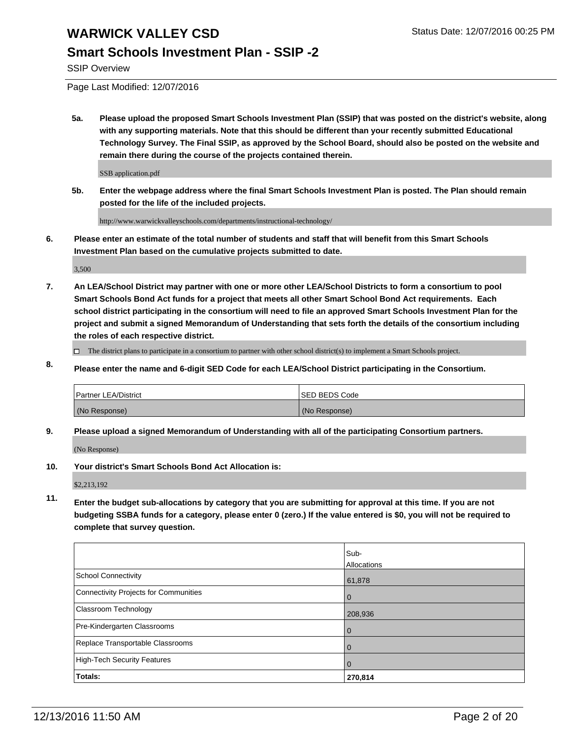### **Smart Schools Investment Plan - SSIP -2**

SSIP Overview

Page Last Modified: 12/07/2016

**5a. Please upload the proposed Smart Schools Investment Plan (SSIP) that was posted on the district's website, along with any supporting materials. Note that this should be different than your recently submitted Educational Technology Survey. The Final SSIP, as approved by the School Board, should also be posted on the website and remain there during the course of the projects contained therein.**

SSB application.pdf

**5b. Enter the webpage address where the final Smart Schools Investment Plan is posted. The Plan should remain posted for the life of the included projects.**

http://www.warwickvalleyschools.com/departments/instructional-technology/

**6. Please enter an estimate of the total number of students and staff that will benefit from this Smart Schools Investment Plan based on the cumulative projects submitted to date.**

3,500

- **7. An LEA/School District may partner with one or more other LEA/School Districts to form a consortium to pool Smart Schools Bond Act funds for a project that meets all other Smart School Bond Act requirements. Each school district participating in the consortium will need to file an approved Smart Schools Investment Plan for the project and submit a signed Memorandum of Understanding that sets forth the details of the consortium including the roles of each respective district.**
	- $\Box$  The district plans to participate in a consortium to partner with other school district(s) to implement a Smart Schools project.
- **8. Please enter the name and 6-digit SED Code for each LEA/School District participating in the Consortium.**

| <b>Partner LEA/District</b> | <b>ISED BEDS Code</b> |
|-----------------------------|-----------------------|
| (No Response)               | (No Response)         |

**9. Please upload a signed Memorandum of Understanding with all of the participating Consortium partners.**

(No Response)

**10. Your district's Smart Schools Bond Act Allocation is:**

\$2,213,192

**11. Enter the budget sub-allocations by category that you are submitting for approval at this time. If you are not budgeting SSBA funds for a category, please enter 0 (zero.) If the value entered is \$0, you will not be required to complete that survey question.**

|                                       | Sub-        |
|---------------------------------------|-------------|
|                                       | Allocations |
| School Connectivity                   | 61,878      |
| Connectivity Projects for Communities | $\Omega$    |
| Classroom Technology                  | 208,936     |
| Pre-Kindergarten Classrooms           | 0           |
| Replace Transportable Classrooms      |             |
| High-Tech Security Features           | $\Omega$    |
| Totals:                               | 270,814     |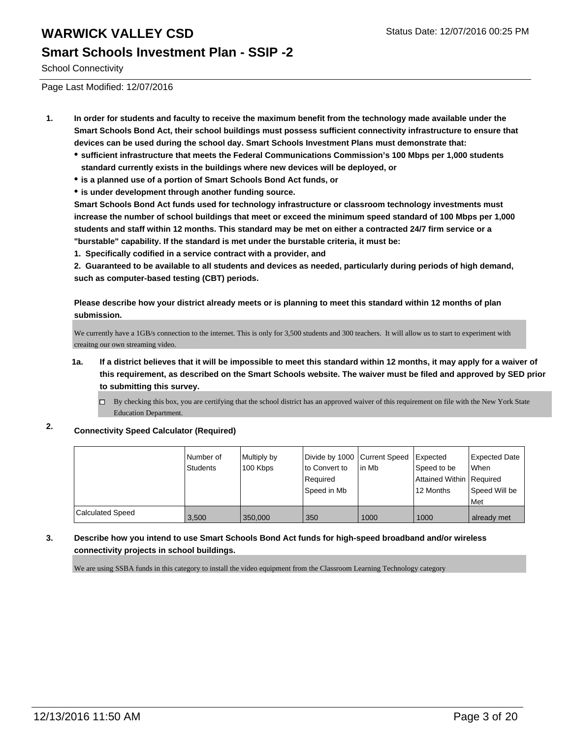### **Smart Schools Investment Plan - SSIP -2**

School Connectivity

Page Last Modified: 12/07/2016

- **1. In order for students and faculty to receive the maximum benefit from the technology made available under the Smart Schools Bond Act, their school buildings must possess sufficient connectivity infrastructure to ensure that devices can be used during the school day. Smart Schools Investment Plans must demonstrate that:**
	- **sufficient infrastructure that meets the Federal Communications Commission's 100 Mbps per 1,000 students standard currently exists in the buildings where new devices will be deployed, or**
	- **is a planned use of a portion of Smart Schools Bond Act funds, or**
	- **is under development through another funding source.**

**Smart Schools Bond Act funds used for technology infrastructure or classroom technology investments must increase the number of school buildings that meet or exceed the minimum speed standard of 100 Mbps per 1,000 students and staff within 12 months. This standard may be met on either a contracted 24/7 firm service or a "burstable" capability. If the standard is met under the burstable criteria, it must be:**

**1. Specifically codified in a service contract with a provider, and**

**2. Guaranteed to be available to all students and devices as needed, particularly during periods of high demand, such as computer-based testing (CBT) periods.**

**Please describe how your district already meets or is planning to meet this standard within 12 months of plan submission.**

We currently have a 1GB/s connection to the internet. This is only for 3,500 students and 300 teachers. It will allow us to start to experiment with creaitng our own streaming video.

- **1a. If a district believes that it will be impossible to meet this standard within 12 months, it may apply for a waiver of this requirement, as described on the Smart Schools website. The waiver must be filed and approved by SED prior to submitting this survey.**
	- By checking this box, you are certifying that the school district has an approved waiver of this requirement on file with the New York State Education Department.

#### **2. Connectivity Speed Calculator (Required)**

|                  | l Number of<br>Students | Multiply by<br>100 Kbps | lto Convert to<br>Required<br>Speed in Mb | Divide by 1000 Current Speed Expected<br>l in Mb | Speed to be<br>Attained Within   Required<br>12 Months | Expected Date<br><b>When</b><br>Speed Will be<br>Met |
|------------------|-------------------------|-------------------------|-------------------------------------------|--------------------------------------------------|--------------------------------------------------------|------------------------------------------------------|
| Calculated Speed | 3.500                   | 350,000                 | 350                                       | 1000                                             | 1000                                                   | already met                                          |

#### **3. Describe how you intend to use Smart Schools Bond Act funds for high-speed broadband and/or wireless connectivity projects in school buildings.**

We are using SSBA funds in this category to install the video equipment from the Classroom Learning Technology category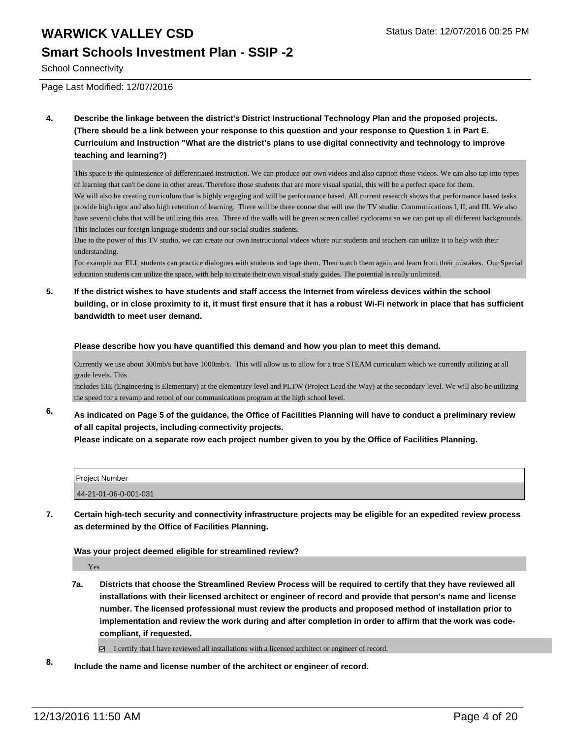### **Smart Schools Investment Plan - SSIP -2**

School Connectivity

Page Last Modified: 12/07/2016

**4. Describe the linkage between the district's District Instructional Technology Plan and the proposed projects. (There should be a link between your response to this question and your response to Question 1 in Part E. Curriculum and Instruction "What are the district's plans to use digital connectivity and technology to improve teaching and learning?)**

This space is the quintessence of differentiated instruction. We can produce our own videos and also caption those videos. We can also tap into types of learning that can't be done in other areas. Therefore those students that are more visual spatial, this will be a perfect space for them. We will also be creating curriculum that is highly engaging and will be performance based. All current research shows that performance based tasks provide high rigor and also high retention of learning. There will be three course that will use the TV studio. Communications I, II, and III. We also have several clubs that will be utilizing this area. Three of the walls will be green screen called cyclorama so we can put up all different backgrounds. This includes our foreign language students and our social studies students.

Due to the power of this TV studio, we can create our own instructional videos where our students and teachers can utilize it to help with their understanding.

For example our ELL students can practice dialogues with students and tape them. Then watch them again and learn from their mistakes. Our Special education students can utilize the space, with help to create their own visual study guides. The potential is really unlimited.

**5. If the district wishes to have students and staff access the Internet from wireless devices within the school building, or in close proximity to it, it must first ensure that it has a robust Wi-Fi network in place that has sufficient bandwidth to meet user demand.**

#### **Please describe how you have quantified this demand and how you plan to meet this demand.**

Currently we use about 300mb/s but have 1000mb/s. This will allow us to allow for a true STEAM curriculum which we currently utilizing at all grade levels. This

includes EIE (Engineering is Elementary) at the elementary level and PLTW (Project Lead the Way) at the secondary level. We will also be utilizing the speed for a revamp and retool of our communications program at the high school level.

**6. As indicated on Page 5 of the guidance, the Office of Facilities Planning will have to conduct a preliminary review of all capital projects, including connectivity projects.**

**Please indicate on a separate row each project number given to you by the Office of Facilities Planning.**

| Project Number        |  |
|-----------------------|--|
| 44-21-01-06-0-001-031 |  |

**7. Certain high-tech security and connectivity infrastructure projects may be eligible for an expedited review process as determined by the Office of Facilities Planning.**

#### **Was your project deemed eligible for streamlined review?**

Yes

**7a. Districts that choose the Streamlined Review Process will be required to certify that they have reviewed all installations with their licensed architect or engineer of record and provide that person's name and license number. The licensed professional must review the products and proposed method of installation prior to implementation and review the work during and after completion in order to affirm that the work was codecompliant, if requested.**

I certify that I have reviewed all installations with a licensed architect or engineer of record.

**8. Include the name and license number of the architect or engineer of record.**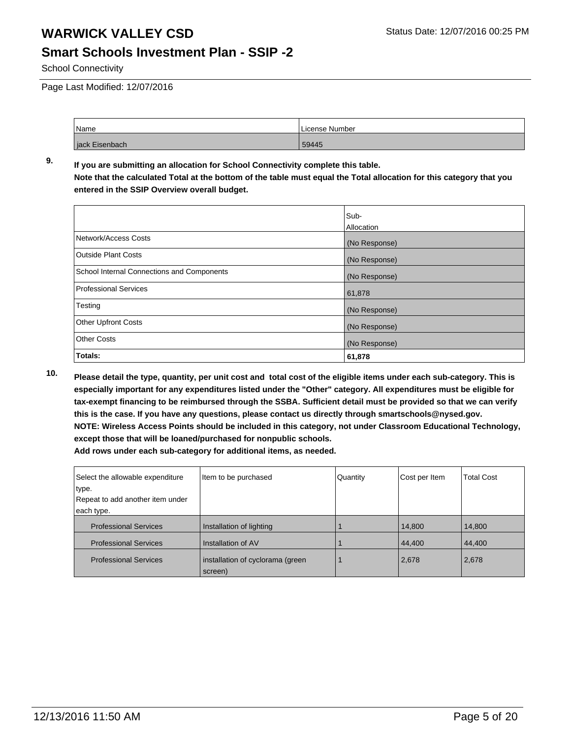#### **Smart Schools Investment Plan - SSIP -2**

School Connectivity

Page Last Modified: 12/07/2016

| Name           | License Number |
|----------------|----------------|
| jack Eisenbach | 59445          |

#### **9. If you are submitting an allocation for School Connectivity complete this table. Note that the calculated Total at the bottom of the table must equal the Total allocation for this category that you entered in the SSIP Overview overall budget.**

|                                            | Sub-          |
|--------------------------------------------|---------------|
|                                            | Allocation    |
| Network/Access Costs                       | (No Response) |
| <b>Outside Plant Costs</b>                 | (No Response) |
| School Internal Connections and Components | (No Response) |
| <b>Professional Services</b>               | 61,878        |
| Testing                                    | (No Response) |
| <b>Other Upfront Costs</b>                 | (No Response) |
| <b>Other Costs</b>                         | (No Response) |
| Totals:                                    | 61,878        |

**10. Please detail the type, quantity, per unit cost and total cost of the eligible items under each sub-category. This is especially important for any expenditures listed under the "Other" category. All expenditures must be eligible for tax-exempt financing to be reimbursed through the SSBA. Sufficient detail must be provided so that we can verify this is the case. If you have any questions, please contact us directly through smartschools@nysed.gov. NOTE: Wireless Access Points should be included in this category, not under Classroom Educational Technology, except those that will be loaned/purchased for nonpublic schools.**

| Select the allowable expenditure | Item to be purchased                        | Quantity | Cost per Item | <b>Total Cost</b> |
|----------------------------------|---------------------------------------------|----------|---------------|-------------------|
| type.                            |                                             |          |               |                   |
| Repeat to add another item under |                                             |          |               |                   |
| each type.                       |                                             |          |               |                   |
| <b>Professional Services</b>     | Installation of lighting                    |          | 14,800        | 14,800            |
| <b>Professional Services</b>     | Installation of AV                          |          | 44,400        | 44,400            |
| <b>Professional Services</b>     | installation of cyclorama (green<br>screen) |          | 2,678         | 2,678             |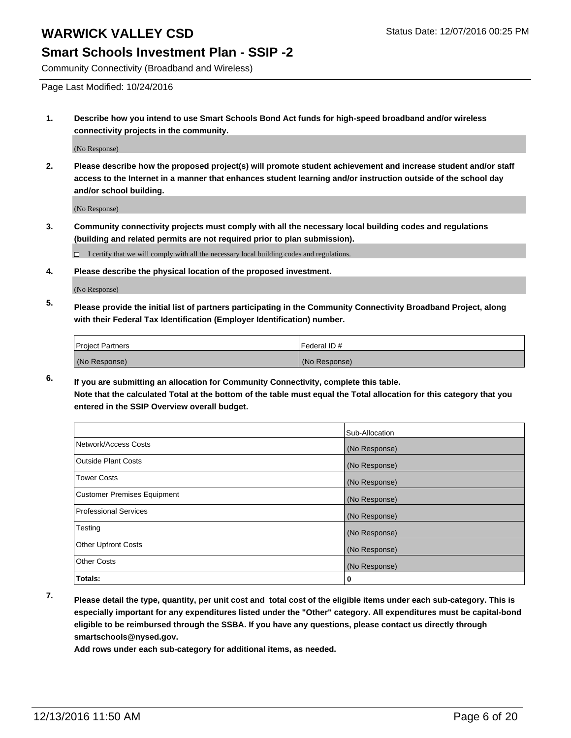#### **Smart Schools Investment Plan - SSIP -2**

Community Connectivity (Broadband and Wireless)

Page Last Modified: 10/24/2016

**1. Describe how you intend to use Smart Schools Bond Act funds for high-speed broadband and/or wireless connectivity projects in the community.**

(No Response)

**2. Please describe how the proposed project(s) will promote student achievement and increase student and/or staff access to the Internet in a manner that enhances student learning and/or instruction outside of the school day and/or school building.**

(No Response)

**3. Community connectivity projects must comply with all the necessary local building codes and regulations (building and related permits are not required prior to plan submission).**

 $\Box$  I certify that we will comply with all the necessary local building codes and regulations.

**4. Please describe the physical location of the proposed investment.**

(No Response)

**5. Please provide the initial list of partners participating in the Community Connectivity Broadband Project, along with their Federal Tax Identification (Employer Identification) number.**

| <b>Project Partners</b> | l Federal ID # |
|-------------------------|----------------|
| (No Response)           | (No Response)  |

**6. If you are submitting an allocation for Community Connectivity, complete this table. Note that the calculated Total at the bottom of the table must equal the Total allocation for this category that you entered in the SSIP Overview overall budget.**

|                                    | Sub-Allocation |
|------------------------------------|----------------|
| Network/Access Costs               | (No Response)  |
| <b>Outside Plant Costs</b>         | (No Response)  |
| <b>Tower Costs</b>                 | (No Response)  |
| <b>Customer Premises Equipment</b> | (No Response)  |
| <b>Professional Services</b>       | (No Response)  |
| Testing                            | (No Response)  |
| <b>Other Upfront Costs</b>         | (No Response)  |
| <b>Other Costs</b>                 | (No Response)  |
| Totals:                            | 0              |

**7. Please detail the type, quantity, per unit cost and total cost of the eligible items under each sub-category. This is especially important for any expenditures listed under the "Other" category. All expenditures must be capital-bond eligible to be reimbursed through the SSBA. If you have any questions, please contact us directly through smartschools@nysed.gov.**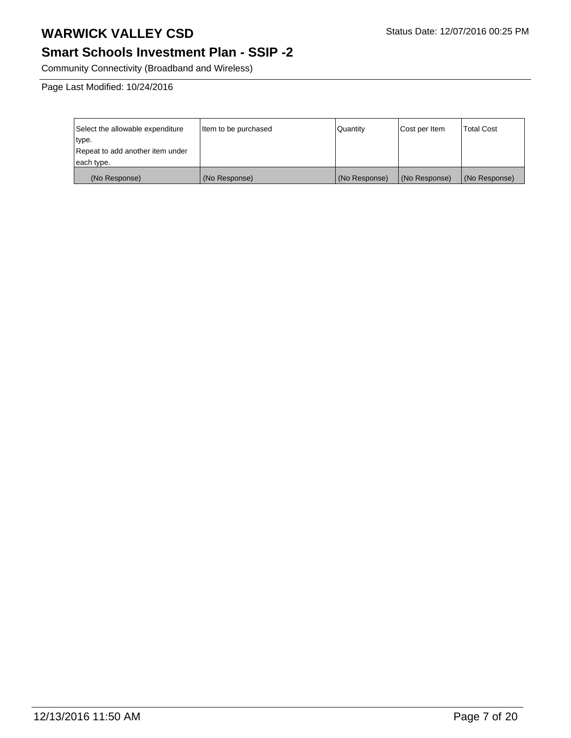# **Smart Schools Investment Plan - SSIP -2**

Community Connectivity (Broadband and Wireless)

Page Last Modified: 10/24/2016

| Select the allowable expenditure | Item to be purchased | l Quantitv    | Cost per Item | Total Cost    |
|----------------------------------|----------------------|---------------|---------------|---------------|
| type.                            |                      |               |               |               |
| Repeat to add another item under |                      |               |               |               |
| each type.                       |                      |               |               |               |
| (No Response)                    | (No Response)        | (No Response) | (No Response) | (No Response) |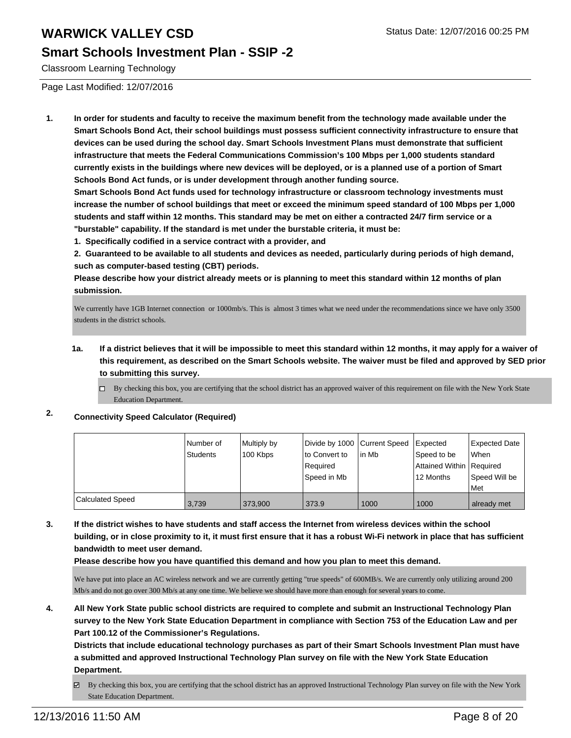#### **Smart Schools Investment Plan - SSIP -2**

Classroom Learning Technology

Page Last Modified: 12/07/2016

**1. In order for students and faculty to receive the maximum benefit from the technology made available under the Smart Schools Bond Act, their school buildings must possess sufficient connectivity infrastructure to ensure that devices can be used during the school day. Smart Schools Investment Plans must demonstrate that sufficient infrastructure that meets the Federal Communications Commission's 100 Mbps per 1,000 students standard currently exists in the buildings where new devices will be deployed, or is a planned use of a portion of Smart Schools Bond Act funds, or is under development through another funding source.**

**Smart Schools Bond Act funds used for technology infrastructure or classroom technology investments must increase the number of school buildings that meet or exceed the minimum speed standard of 100 Mbps per 1,000 students and staff within 12 months. This standard may be met on either a contracted 24/7 firm service or a "burstable" capability. If the standard is met under the burstable criteria, it must be:**

**1. Specifically codified in a service contract with a provider, and**

**2. Guaranteed to be available to all students and devices as needed, particularly during periods of high demand, such as computer-based testing (CBT) periods.**

**Please describe how your district already meets or is planning to meet this standard within 12 months of plan submission.**

We currently have 1GB Internet connection or 1000mb/s. This is almost 3 times what we need under the recommendations since we have only 3500 students in the district schools.

- **1a. If a district believes that it will be impossible to meet this standard within 12 months, it may apply for a waiver of this requirement, as described on the Smart Schools website. The waiver must be filed and approved by SED prior to submitting this survey.**
	- $\Box$  By checking this box, you are certifying that the school district has an approved waiver of this requirement on file with the New York State Education Department.
- **2. Connectivity Speed Calculator (Required)**

|                  | l Number of<br>Students | Multiply by<br>100 Kbps | Divide by 1000 Current Speed<br>lto Convert to<br>Reauired<br>Speed in Mb | In Mb | Expected<br>Speed to be<br>Attained Within Required<br>12 Months | Expected Date<br><b>When</b><br>Speed Will be<br><b>Met</b> |
|------------------|-------------------------|-------------------------|---------------------------------------------------------------------------|-------|------------------------------------------------------------------|-------------------------------------------------------------|
| Calculated Speed | 3.739                   | 373.900                 | 373.9                                                                     | 1000  | 1000                                                             | already met                                                 |

**3. If the district wishes to have students and staff access the Internet from wireless devices within the school building, or in close proximity to it, it must first ensure that it has a robust Wi-Fi network in place that has sufficient bandwidth to meet user demand.**

**Please describe how you have quantified this demand and how you plan to meet this demand.**

We have put into place an AC wireless network and we are currently getting "true speeds" of 600MB/s. We are currently only utilizing around 200 Mb/s and do not go over 300 Mb/s at any one time. We believe we should have more than enough for several years to come.

**4. All New York State public school districts are required to complete and submit an Instructional Technology Plan survey to the New York State Education Department in compliance with Section 753 of the Education Law and per Part 100.12 of the Commissioner's Regulations.**

**Districts that include educational technology purchases as part of their Smart Schools Investment Plan must have a submitted and approved Instructional Technology Plan survey on file with the New York State Education Department.**

By checking this box, you are certifying that the school district has an approved Instructional Technology Plan survey on file with the New York **⊠** State Education Department.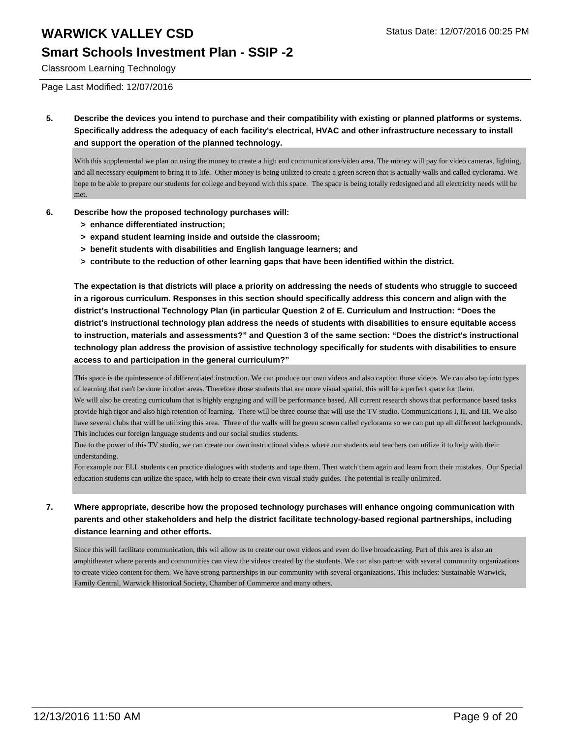#### **Smart Schools Investment Plan - SSIP -2**

Classroom Learning Technology

Page Last Modified: 12/07/2016

**5. Describe the devices you intend to purchase and their compatibility with existing or planned platforms or systems. Specifically address the adequacy of each facility's electrical, HVAC and other infrastructure necessary to install and support the operation of the planned technology.**

With this supplemental we plan on using the money to create a high end communications/video area. The money will pay for video cameras, lighting, and all necessary equipment to bring it to life. Other money is being utilized to create a green screen that is actually walls and called cyclorama. We hope to be able to prepare our students for college and beyond with this space. The space is being totally redesigned and all electricity needs will be met.

- **6. Describe how the proposed technology purchases will:**
	- **> enhance differentiated instruction;**
	- **> expand student learning inside and outside the classroom;**
	- **> benefit students with disabilities and English language learners; and**
	- **> contribute to the reduction of other learning gaps that have been identified within the district.**

**The expectation is that districts will place a priority on addressing the needs of students who struggle to succeed in a rigorous curriculum. Responses in this section should specifically address this concern and align with the district's Instructional Technology Plan (in particular Question 2 of E. Curriculum and Instruction: "Does the district's instructional technology plan address the needs of students with disabilities to ensure equitable access to instruction, materials and assessments?" and Question 3 of the same section: "Does the district's instructional technology plan address the provision of assistive technology specifically for students with disabilities to ensure access to and participation in the general curriculum?"**

This space is the quintessence of differentiated instruction. We can produce our own videos and also caption those videos. We can also tap into types of learning that can't be done in other areas. Therefore those students that are more visual spatial, this will be a perfect space for them. We will also be creating curriculum that is highly engaging and will be performance based. All current research shows that performance based tasks provide high rigor and also high retention of learning. There will be three course that will use the TV studio. Communications I, II, and III. We also have several clubs that will be utilizing this area. Three of the walls will be green screen called cyclorama so we can put up all different backgrounds. This includes our foreign language students and our social studies students.

Due to the power of this TV studio, we can create our own instructional videos where our students and teachers can utilize it to help with their understanding.

For example our ELL students can practice dialogues with students and tape them. Then watch them again and learn from their mistakes. Our Special education students can utilize the space, with help to create their own visual study guides. The potential is really unlimited.

#### **7. Where appropriate, describe how the proposed technology purchases will enhance ongoing communication with parents and other stakeholders and help the district facilitate technology-based regional partnerships, including distance learning and other efforts.**

Since this will facilitate communication, this wil allow us to create our own videos and even do live broadcasting. Part of this area is also an amphitheater where parents and communities can view the videos created by the students. We can also partner with several community organizations to create video content for them. We have strong partnerships in our community with several organizations. This includes: Sustainable Warwick, Family Central, Warwick Historical Society, Chamber of Commerce and many others.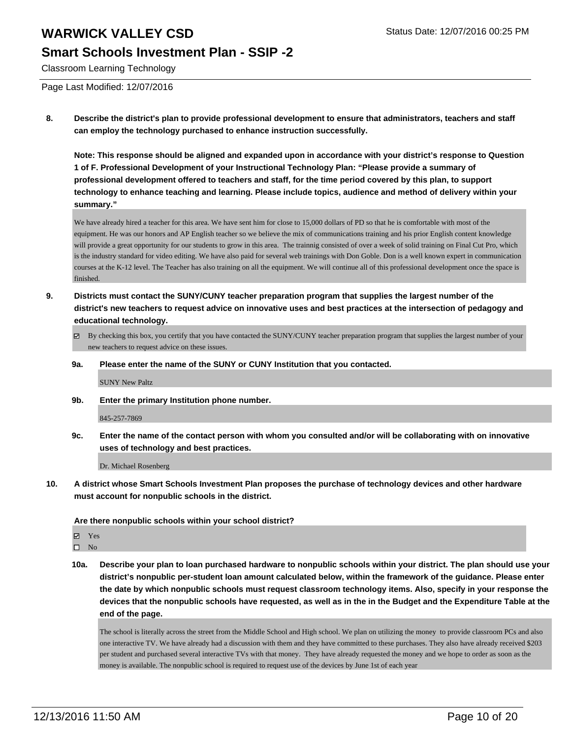#### **Smart Schools Investment Plan - SSIP -2**

Classroom Learning Technology

Page Last Modified: 12/07/2016

**8. Describe the district's plan to provide professional development to ensure that administrators, teachers and staff can employ the technology purchased to enhance instruction successfully.**

**Note: This response should be aligned and expanded upon in accordance with your district's response to Question 1 of F. Professional Development of your Instructional Technology Plan: "Please provide a summary of professional development offered to teachers and staff, for the time period covered by this plan, to support technology to enhance teaching and learning. Please include topics, audience and method of delivery within your summary."**

We have already hired a teacher for this area. We have sent him for close to 15,000 dollars of PD so that he is comfortable with most of the equipment. He was our honors and AP English teacher so we believe the mix of communications training and his prior English content knowledge will provide a great opportunity for our students to grow in this area. The trainnig consisted of over a week of solid training on Final Cut Pro, which is the industry standard for video editing. We have also paid for several web trainings with Don Goble. Don is a well known expert in communication courses at the K-12 level. The Teacher has also training on all the equipment. We will continue all of this professional development once the space is finished.

- **9. Districts must contact the SUNY/CUNY teacher preparation program that supplies the largest number of the district's new teachers to request advice on innovative uses and best practices at the intersection of pedagogy and educational technology.**
	- $\boxtimes$  By checking this box, you certify that you have contacted the SUNY/CUNY teacher preparation program that supplies the largest number of your new teachers to request advice on these issues.
	- **9a. Please enter the name of the SUNY or CUNY Institution that you contacted.**

SUNY New Paltz

**9b. Enter the primary Institution phone number.**

845-257-7869

**9c. Enter the name of the contact person with whom you consulted and/or will be collaborating with on innovative uses of technology and best practices.**

Dr. Michael Rosenberg

**10. A district whose Smart Schools Investment Plan proposes the purchase of technology devices and other hardware must account for nonpublic schools in the district.**

**Are there nonpublic schools within your school district?**

**Ø** Yes

 $\square$  No

**10a. Describe your plan to loan purchased hardware to nonpublic schools within your district. The plan should use your district's nonpublic per-student loan amount calculated below, within the framework of the guidance. Please enter the date by which nonpublic schools must request classroom technology items. Also, specify in your response the devices that the nonpublic schools have requested, as well as in the in the Budget and the Expenditure Table at the end of the page.**

The school is literally across the street from the Middle School and High school. We plan on utilizing the money to provide classroom PCs and also one interactive TV. We have already had a discussion with them and they have committed to these purchases. They also have already received \$203 per student and purchased several interactive TVs with that money. They have already requested the money and we hope to order as soon as the money is available. The nonpublic school is required to request use of the devices by June 1st of each year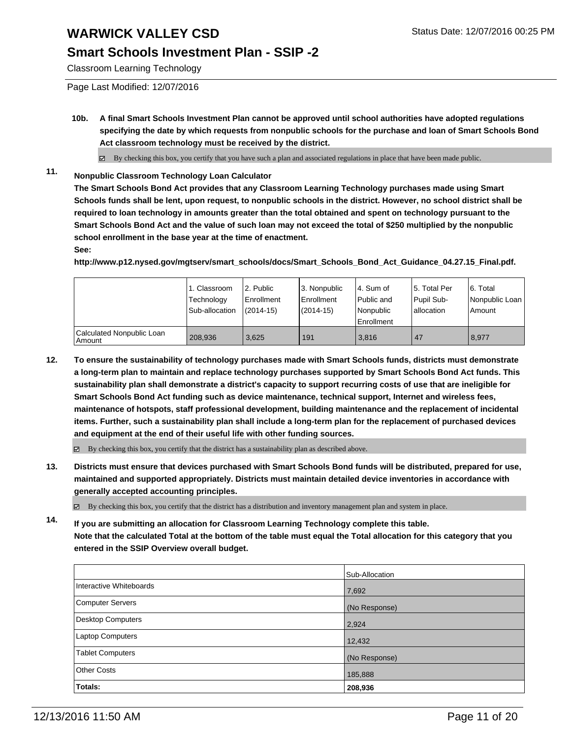### **Smart Schools Investment Plan - SSIP -2**

Classroom Learning Technology

Page Last Modified: 12/07/2016

**10b. A final Smart Schools Investment Plan cannot be approved until school authorities have adopted regulations specifying the date by which requests from nonpublic schools for the purchase and loan of Smart Schools Bond Act classroom technology must be received by the district.**

 $\boxtimes$  By checking this box, you certify that you have such a plan and associated regulations in place that have been made public.

**11. Nonpublic Classroom Technology Loan Calculator**

**The Smart Schools Bond Act provides that any Classroom Learning Technology purchases made using Smart Schools funds shall be lent, upon request, to nonpublic schools in the district. However, no school district shall be required to loan technology in amounts greater than the total obtained and spent on technology pursuant to the Smart Schools Bond Act and the value of such loan may not exceed the total of \$250 multiplied by the nonpublic school enrollment in the base year at the time of enactment. See:**

**http://www.p12.nysed.gov/mgtserv/smart\_schools/docs/Smart\_Schools\_Bond\_Act\_Guidance\_04.27.15\_Final.pdf.**

|                                     | 1. Classroom<br>Technology<br>Sub-allocation | 2. Public<br><b>Enrollment</b><br>$(2014-15)$ | 3. Nonpublic<br>Enrollment<br>$(2014 - 15)$ | l 4. Sum of<br>l Public and<br>l Nonpublic<br>Enrollment | 5. Total Per<br>Pupil Sub-<br>Iallocation | 6. Total<br>l Nonpublic Loan<br>Amount |
|-------------------------------------|----------------------------------------------|-----------------------------------------------|---------------------------------------------|----------------------------------------------------------|-------------------------------------------|----------------------------------------|
| Calculated Nonpublic Loan<br>Amount | 208.936                                      | 3.625                                         | 191                                         | 3.816                                                    | 47                                        | 8,977                                  |

- **12. To ensure the sustainability of technology purchases made with Smart Schools funds, districts must demonstrate a long-term plan to maintain and replace technology purchases supported by Smart Schools Bond Act funds. This sustainability plan shall demonstrate a district's capacity to support recurring costs of use that are ineligible for Smart Schools Bond Act funding such as device maintenance, technical support, Internet and wireless fees, maintenance of hotspots, staff professional development, building maintenance and the replacement of incidental items. Further, such a sustainability plan shall include a long-term plan for the replacement of purchased devices and equipment at the end of their useful life with other funding sources.**
	- $\boxtimes$  By checking this box, you certify that the district has a sustainability plan as described above.
- **13. Districts must ensure that devices purchased with Smart Schools Bond funds will be distributed, prepared for use, maintained and supported appropriately. Districts must maintain detailed device inventories in accordance with generally accepted accounting principles.**

By checking this box, you certify that the district has a distribution and inventory management plan and system in place.

**14. If you are submitting an allocation for Classroom Learning Technology complete this table. Note that the calculated Total at the bottom of the table must equal the Total allocation for this category that you entered in the SSIP Overview overall budget.**

|                         | Sub-Allocation |
|-------------------------|----------------|
| Interactive Whiteboards | 7,692          |
| Computer Servers        | (No Response)  |
| Desktop Computers       | 2,924          |
| <b>Laptop Computers</b> | 12,432         |
| Tablet Computers        | (No Response)  |
| Other Costs             | 185,888        |
| <b>Totals:</b>          | 208,936        |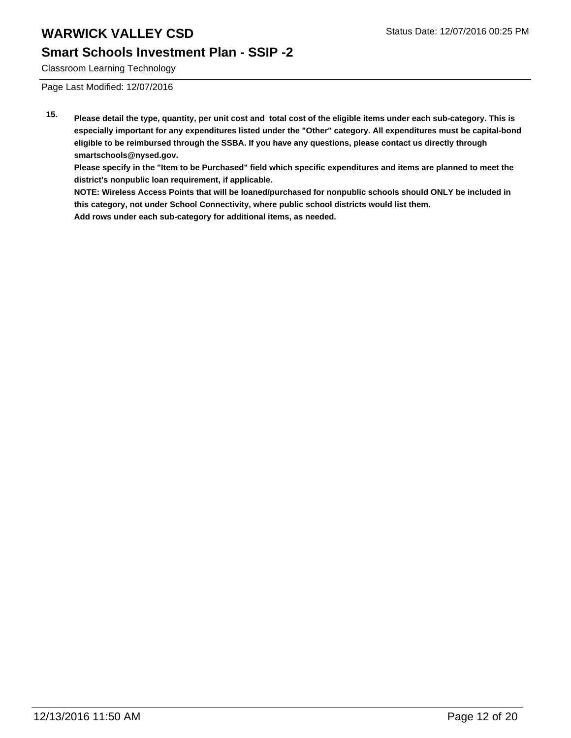#### **Smart Schools Investment Plan - SSIP -2**

Classroom Learning Technology

Page Last Modified: 12/07/2016

**15. Please detail the type, quantity, per unit cost and total cost of the eligible items under each sub-category. This is especially important for any expenditures listed under the "Other" category. All expenditures must be capital-bond eligible to be reimbursed through the SSBA. If you have any questions, please contact us directly through smartschools@nysed.gov.**

**Please specify in the "Item to be Purchased" field which specific expenditures and items are planned to meet the district's nonpublic loan requirement, if applicable.**

**NOTE: Wireless Access Points that will be loaned/purchased for nonpublic schools should ONLY be included in this category, not under School Connectivity, where public school districts would list them. Add rows under each sub-category for additional items, as needed.**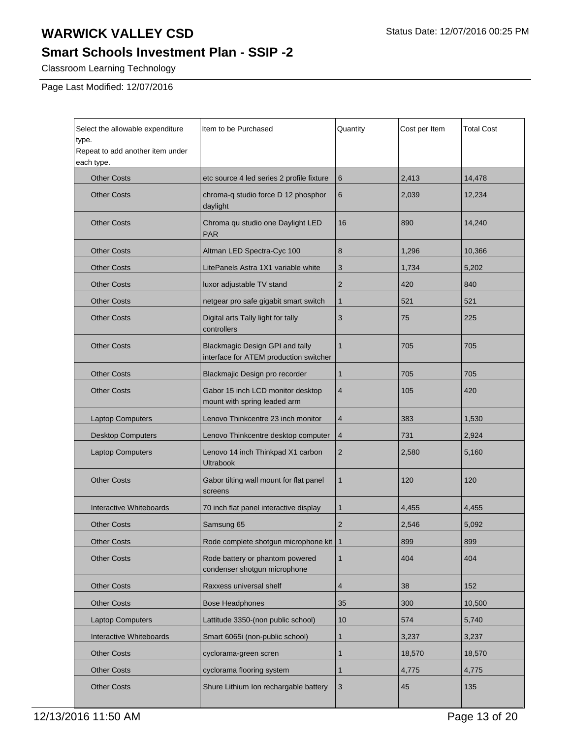# **Smart Schools Investment Plan - SSIP -2**

Classroom Learning Technology

Page Last Modified: 12/07/2016

| Select the allowable expenditure<br>type.<br>Repeat to add another item under<br>each type. | Item to be Purchased                                                      | Quantity       | Cost per Item | <b>Total Cost</b> |
|---------------------------------------------------------------------------------------------|---------------------------------------------------------------------------|----------------|---------------|-------------------|
| <b>Other Costs</b>                                                                          | etc source 4 led series 2 profile fixture                                 | 6              | 2,413         | 14,478            |
| <b>Other Costs</b>                                                                          | chroma-q studio force D 12 phosphor<br>daylight                           | 6              | 2,039         | 12,234            |
| <b>Other Costs</b>                                                                          | Chroma qu studio one Daylight LED<br><b>PAR</b>                           | 16             | 890           | 14,240            |
| <b>Other Costs</b>                                                                          | Altman LED Spectra-Cyc 100                                                | 8              | 1,296         | 10,366            |
| <b>Other Costs</b>                                                                          | LitePanels Astra 1X1 variable white                                       | 3              | 1,734         | 5,202             |
| <b>Other Costs</b>                                                                          | luxor adjustable TV stand                                                 | $\overline{2}$ | 420           | 840               |
| <b>Other Costs</b>                                                                          | netgear pro safe gigabit smart switch                                     | $\mathbf{1}$   | 521           | 521               |
| <b>Other Costs</b>                                                                          | Digital arts Tally light for tally<br>controllers                         | 3              | 75            | 225               |
| <b>Other Costs</b>                                                                          | Blackmagic Design GPI and tally<br>interface for ATEM production switcher | $\mathbf{1}$   | 705           | 705               |
| <b>Other Costs</b>                                                                          | Blackmajic Design pro recorder                                            | 1              | 705           | 705               |
| <b>Other Costs</b>                                                                          | Gabor 15 inch LCD monitor desktop<br>mount with spring leaded arm         | 4              | 105           | 420               |
| <b>Laptop Computers</b>                                                                     | Lenovo Thinkcentre 23 inch monitor                                        | 4              | 383           | 1,530             |
| <b>Desktop Computers</b>                                                                    | Lenovo Thinkcentre desktop computer                                       | $\overline{4}$ | 731           | 2,924             |
| <b>Laptop Computers</b>                                                                     | Lenovo 14 inch Thinkpad X1 carbon<br><b>Ultrabook</b>                     | $\overline{2}$ | 2,580         | 5,160             |
| <b>Other Costs</b>                                                                          | Gabor tilting wall mount for flat panel<br>screens                        | 1              | 120           | 120               |
| Interactive Whiteboards                                                                     | 70 inch flat panel interactive display                                    | 1              | 4,455         | 4,455             |
| <b>Other Costs</b>                                                                          | Samsung 65                                                                | 2              | 2,546         | 5,092             |
| <b>Other Costs</b>                                                                          | Rode complete shotgun microphone kit   1                                  |                | 899           | 899               |
| <b>Other Costs</b>                                                                          | Rode battery or phantom powered<br>condenser shotgun microphone           | $\mathbf{1}$   | 404           | 404               |
| <b>Other Costs</b>                                                                          | Raxxess universal shelf                                                   | 4              | 38            | 152               |
| <b>Other Costs</b>                                                                          | <b>Bose Headphones</b>                                                    | 35             | 300           | 10,500            |
| <b>Laptop Computers</b>                                                                     | Lattitude 3350-(non public school)                                        | 10             | 574           | 5,740             |
| Interactive Whiteboards                                                                     | Smart 6065i (non-public school)                                           | 1              | 3,237         | 3,237             |
| <b>Other Costs</b>                                                                          | cyclorama-green scren                                                     | 1              | 18,570        | 18,570            |
| <b>Other Costs</b>                                                                          | cyclorama flooring system                                                 | 1              | 4,775         | 4,775             |
| <b>Other Costs</b>                                                                          | Shure Lithium Ion rechargable battery                                     | $\mathbf{3}$   | 45            | 135               |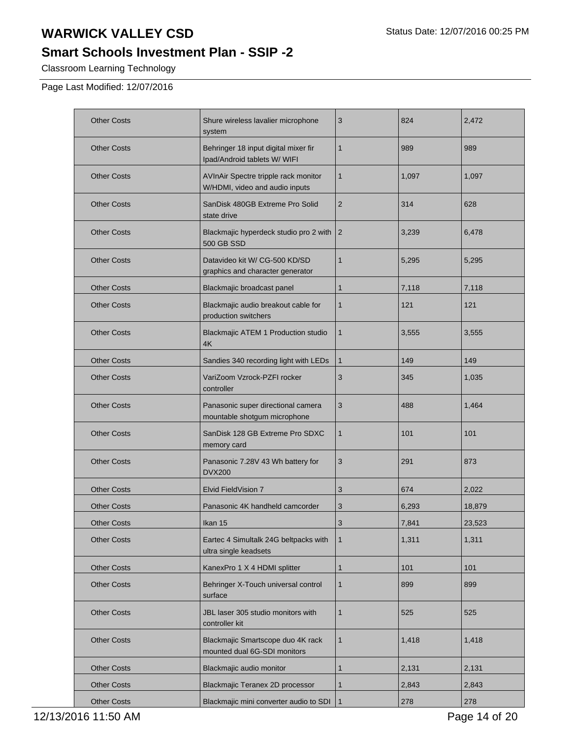# **Smart Schools Investment Plan - SSIP -2**

Classroom Learning Technology

Page Last Modified: 12/07/2016

| <b>Other Costs</b> | Shure wireless lavalier microphone<br>system                           | 3              | 824   | 2,472  |
|--------------------|------------------------------------------------------------------------|----------------|-------|--------|
| <b>Other Costs</b> | Behringer 18 input digital mixer fir<br>Ipad/Android tablets W/ WIFI   | 1              | 989   | 989    |
| <b>Other Costs</b> | AVInAir Spectre tripple rack monitor<br>W/HDMI, video and audio inputs | 1              | 1,097 | 1,097  |
| <b>Other Costs</b> | SanDisk 480GB Extreme Pro Solid<br>state drive                         | 2              | 314   | 628    |
| <b>Other Costs</b> | Blackmajic hyperdeck studio pro 2 with<br><b>500 GB SSD</b>            | $\overline{2}$ | 3,239 | 6,478  |
| <b>Other Costs</b> | Datavideo kit W/ CG-500 KD/SD<br>graphics and character generator      | 1              | 5,295 | 5,295  |
| <b>Other Costs</b> | Blackmajic broadcast panel                                             | 1              | 7,118 | 7,118  |
| <b>Other Costs</b> | Blackmajic audio breakout cable for<br>production switchers            | 1              | 121   | 121    |
| <b>Other Costs</b> | Blackmajic ATEM 1 Production studio<br>4K                              | 1              | 3,555 | 3,555  |
| <b>Other Costs</b> | Sandies 340 recording light with LEDs                                  | 1              | 149   | 149    |
| <b>Other Costs</b> | VariZoom Vzrock-PZFI rocker<br>controller                              | 3              | 345   | 1,035  |
| <b>Other Costs</b> | Panasonic super directional camera<br>mountable shotgum microphone     | 3              | 488   | 1,464  |
| <b>Other Costs</b> | SanDisk 128 GB Extreme Pro SDXC<br>memory card                         | 1              | 101   | 101    |
| <b>Other Costs</b> | Panasonic 7.28V 43 Wh battery for<br><b>DVX200</b>                     | 3              | 291   | 873    |
| <b>Other Costs</b> | Elvid FieldVision 7                                                    | 3              | 674   | 2,022  |
| <b>Other Costs</b> | Panasonic 4K handheld camcorder                                        | 3              | 6,293 | 18,879 |
| <b>Other Costs</b> | Ikan 15                                                                | 3              | 7,841 | 23.523 |
| <b>Other Costs</b> | Eartec 4 Simultalk 24G beltpacks with<br>ultra single keadsets         | $\mathbf{1}$   | 1,311 | 1,311  |
| <b>Other Costs</b> | KanexPro 1 X 4 HDMI splitter                                           | 1              | 101   | 101    |
| <b>Other Costs</b> | Behringer X-Touch universal control<br>surface                         | 1              | 899   | 899    |
| <b>Other Costs</b> | JBL laser 305 studio monitors with<br>controller kit                   | 1              | 525   | 525    |
| <b>Other Costs</b> | Blackmajic Smartscope duo 4K rack<br>mounted dual 6G-SDI monitors      | 1              | 1,418 | 1,418  |
| <b>Other Costs</b> | Blackmajic audio monitor                                               | 1              | 2,131 | 2,131  |
| <b>Other Costs</b> | Blackmajic Teranex 2D processor                                        | 1              | 2,843 | 2,843  |
| <b>Other Costs</b> | Blackmajic mini converter audio to SDI                                 | $\mathbf{1}$   | 278   | 278    |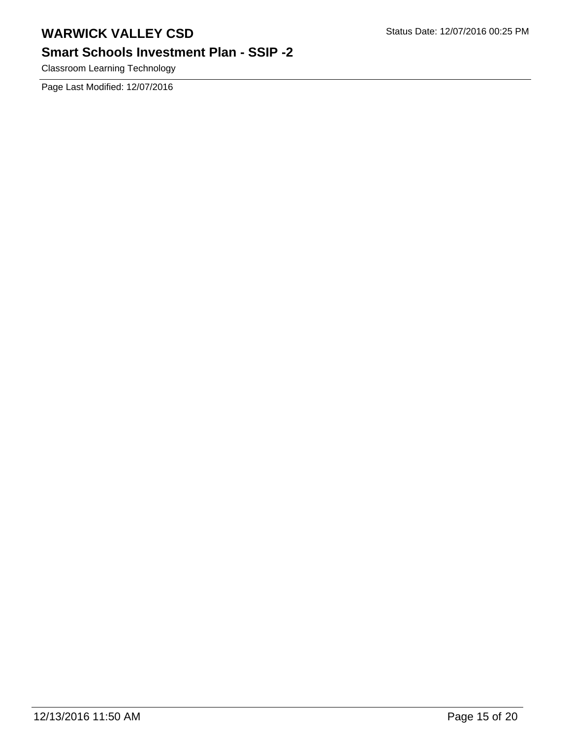# **Smart Schools Investment Plan - SSIP -2**

Classroom Learning Technology

Page Last Modified: 12/07/2016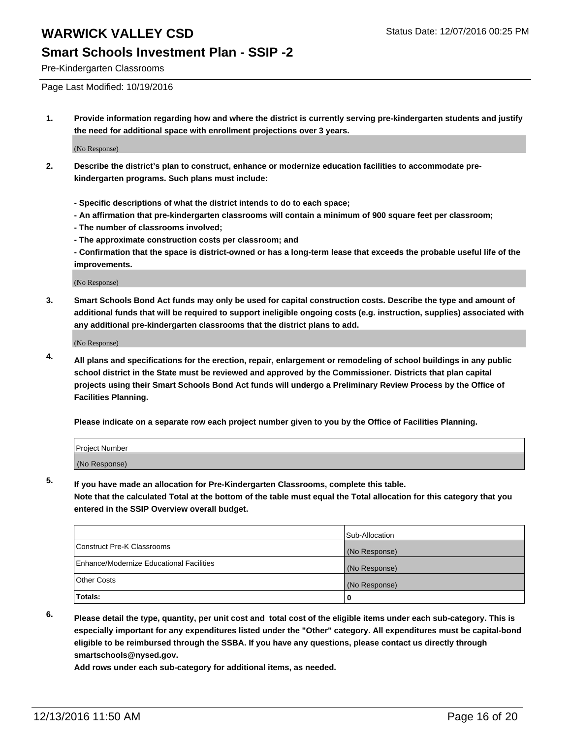#### **Smart Schools Investment Plan - SSIP -2**

Pre-Kindergarten Classrooms

Page Last Modified: 10/19/2016

**1. Provide information regarding how and where the district is currently serving pre-kindergarten students and justify the need for additional space with enrollment projections over 3 years.**

(No Response)

- **2. Describe the district's plan to construct, enhance or modernize education facilities to accommodate prekindergarten programs. Such plans must include:**
	- **Specific descriptions of what the district intends to do to each space;**
	- **An affirmation that pre-kindergarten classrooms will contain a minimum of 900 square feet per classroom;**
	- **The number of classrooms involved;**
	- **The approximate construction costs per classroom; and**
	- **Confirmation that the space is district-owned or has a long-term lease that exceeds the probable useful life of the improvements.**

(No Response)

**3. Smart Schools Bond Act funds may only be used for capital construction costs. Describe the type and amount of additional funds that will be required to support ineligible ongoing costs (e.g. instruction, supplies) associated with any additional pre-kindergarten classrooms that the district plans to add.**

(No Response)

**4. All plans and specifications for the erection, repair, enlargement or remodeling of school buildings in any public school district in the State must be reviewed and approved by the Commissioner. Districts that plan capital projects using their Smart Schools Bond Act funds will undergo a Preliminary Review Process by the Office of Facilities Planning.**

**Please indicate on a separate row each project number given to you by the Office of Facilities Planning.**

| Project Number |  |  |
|----------------|--|--|
| (No Response)  |  |  |

**5. If you have made an allocation for Pre-Kindergarten Classrooms, complete this table.**

**Note that the calculated Total at the bottom of the table must equal the Total allocation for this category that you entered in the SSIP Overview overall budget.**

|                                          | Sub-Allocation |
|------------------------------------------|----------------|
| Construct Pre-K Classrooms               | (No Response)  |
| Enhance/Modernize Educational Facilities | (No Response)  |
| Other Costs                              | (No Response)  |
| Totals:                                  |                |

**6. Please detail the type, quantity, per unit cost and total cost of the eligible items under each sub-category. This is especially important for any expenditures listed under the "Other" category. All expenditures must be capital-bond eligible to be reimbursed through the SSBA. If you have any questions, please contact us directly through smartschools@nysed.gov.**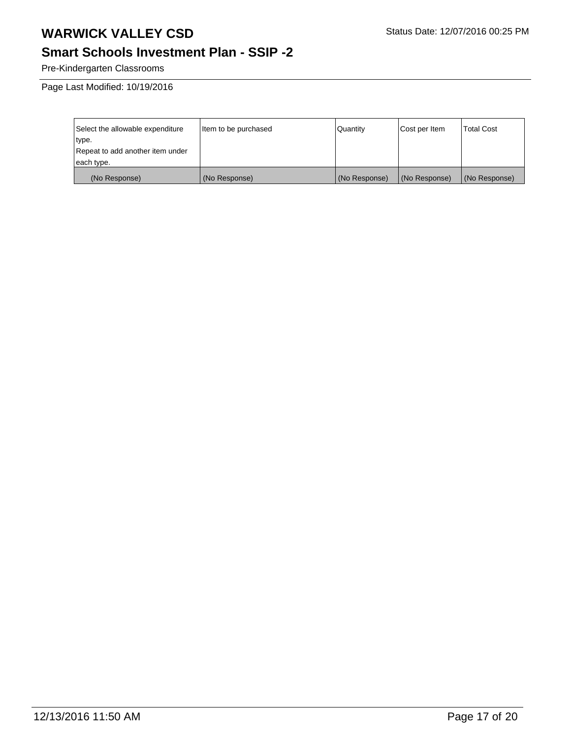# **Smart Schools Investment Plan - SSIP -2**

Pre-Kindergarten Classrooms

Page Last Modified: 10/19/2016

| Select the allowable expenditure | Item to be purchased | l Quantitv    | Cost per Item | <b>Total Cost</b> |
|----------------------------------|----------------------|---------------|---------------|-------------------|
| type.                            |                      |               |               |                   |
| Repeat to add another item under |                      |               |               |                   |
| each type.                       |                      |               |               |                   |
| (No Response)                    | (No Response)        | (No Response) | (No Response) | (No Response)     |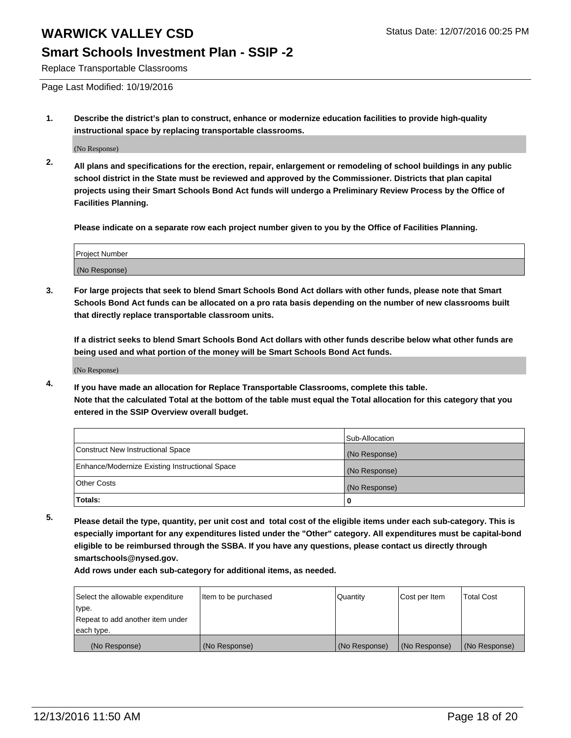### **Smart Schools Investment Plan - SSIP -2**

Replace Transportable Classrooms

Page Last Modified: 10/19/2016

**1. Describe the district's plan to construct, enhance or modernize education facilities to provide high-quality instructional space by replacing transportable classrooms.**

(No Response)

**2. All plans and specifications for the erection, repair, enlargement or remodeling of school buildings in any public school district in the State must be reviewed and approved by the Commissioner. Districts that plan capital projects using their Smart Schools Bond Act funds will undergo a Preliminary Review Process by the Office of Facilities Planning.**

**Please indicate on a separate row each project number given to you by the Office of Facilities Planning.**

| <b>Project Number</b> |  |
|-----------------------|--|
| (No Response)         |  |

**3. For large projects that seek to blend Smart Schools Bond Act dollars with other funds, please note that Smart Schools Bond Act funds can be allocated on a pro rata basis depending on the number of new classrooms built that directly replace transportable classroom units.**

**If a district seeks to blend Smart Schools Bond Act dollars with other funds describe below what other funds are being used and what portion of the money will be Smart Schools Bond Act funds.**

(No Response)

**4. If you have made an allocation for Replace Transportable Classrooms, complete this table. Note that the calculated Total at the bottom of the table must equal the Total allocation for this category that you entered in the SSIP Overview overall budget.**

|                                                | Sub-Allocation |
|------------------------------------------------|----------------|
| Construct New Instructional Space              | (No Response)  |
| Enhance/Modernize Existing Instructional Space | (No Response)  |
| <b>Other Costs</b>                             | (No Response)  |
| Totals:                                        |                |

**5. Please detail the type, quantity, per unit cost and total cost of the eligible items under each sub-category. This is especially important for any expenditures listed under the "Other" category. All expenditures must be capital-bond eligible to be reimbursed through the SSBA. If you have any questions, please contact us directly through smartschools@nysed.gov.**

| Select the allowable expenditure | Item to be purchased | Quantity      | Cost per Item | <b>Total Cost</b> |
|----------------------------------|----------------------|---------------|---------------|-------------------|
| type.                            |                      |               |               |                   |
| Repeat to add another item under |                      |               |               |                   |
| each type.                       |                      |               |               |                   |
| (No Response)                    | (No Response)        | (No Response) | (No Response) | (No Response)     |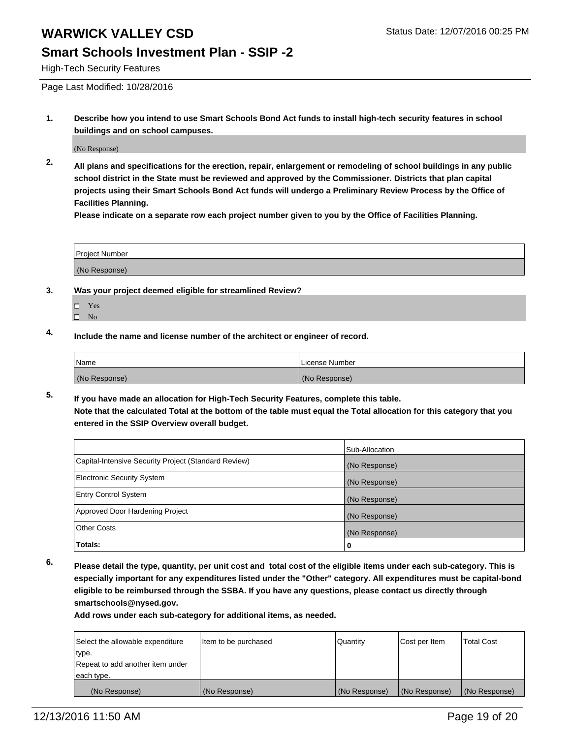#### **Smart Schools Investment Plan - SSIP -2**

High-Tech Security Features

Page Last Modified: 10/28/2016

**1. Describe how you intend to use Smart Schools Bond Act funds to install high-tech security features in school buildings and on school campuses.**

(No Response)

**2. All plans and specifications for the erection, repair, enlargement or remodeling of school buildings in any public school district in the State must be reviewed and approved by the Commissioner. Districts that plan capital projects using their Smart Schools Bond Act funds will undergo a Preliminary Review Process by the Office of Facilities Planning.** 

**Please indicate on a separate row each project number given to you by the Office of Facilities Planning.**

| Project Number |  |
|----------------|--|
| (No Response)  |  |

- **3. Was your project deemed eligible for streamlined Review?**
	- Yes
	- $\square$  No
- **4. Include the name and license number of the architect or engineer of record.**

| Name          | License Number |
|---------------|----------------|
| (No Response) | (No Response)  |

**5. If you have made an allocation for High-Tech Security Features, complete this table. Note that the calculated Total at the bottom of the table must equal the Total allocation for this category that you entered in the SSIP Overview overall budget.**

|                                                      | Sub-Allocation |
|------------------------------------------------------|----------------|
| Capital-Intensive Security Project (Standard Review) | (No Response)  |
| <b>Electronic Security System</b>                    | (No Response)  |
| <b>Entry Control System</b>                          | (No Response)  |
| Approved Door Hardening Project                      | (No Response)  |
| <b>Other Costs</b>                                   | (No Response)  |
| Totals:                                              | 0              |

**6. Please detail the type, quantity, per unit cost and total cost of the eligible items under each sub-category. This is especially important for any expenditures listed under the "Other" category. All expenditures must be capital-bond eligible to be reimbursed through the SSBA. If you have any questions, please contact us directly through smartschools@nysed.gov.**

| Select the allowable expenditure | Item to be purchased | Quantity      | Cost per Item | <b>Total Cost</b> |
|----------------------------------|----------------------|---------------|---------------|-------------------|
| type.                            |                      |               |               |                   |
| Repeat to add another item under |                      |               |               |                   |
| each type.                       |                      |               |               |                   |
| (No Response)                    | (No Response)        | (No Response) | (No Response) | (No Response)     |